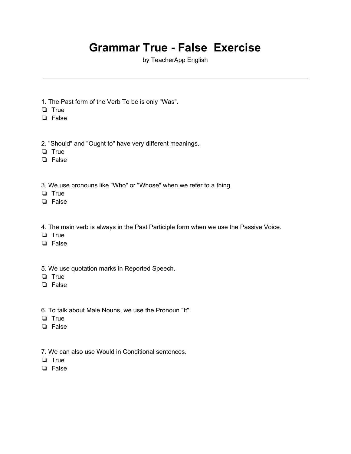## **Grammar True - False Exercise**

by TeacherApp English

- 1. The Past form of the Verb To be is only "Was".
- ❏ True
- ❏ False
- 2. "Should" and "Ought to" have very different meanings.
- ❏ True
- ❏ False
- 3. We use pronouns like "Who" or "Whose" when we refer to a thing.
- ❏ True
- ❏ False
- 4. The main verb is always in the Past Participle form when we use the Passive Voice.
- ❏ True
- ❏ False
- 5. We use quotation marks in Reported Speech.
- ❏ True
- ❏ False
- 6. To talk about Male Nouns, we use the Pronoun "It".
- ❏ True
- ❏ False
- 7. We can also use Would in Conditional sentences.
- ❏ True
- ❏ False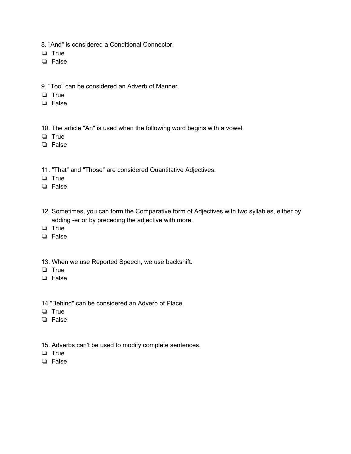- 8. "And" is considered a Conditional Connector.
- ❏ True
- ❏ False
- 9. "Too" can be considered an Adverb of Manner.
- ❏ True
- ❏ False
- 10. The article "An" is used when the following word begins with a vowel.
- ❏ True
- ❏ False
- 11. "That" and "Those" are considered Quantitative Adjectives.
- ❏ True
- ❏ False
- 12. Sometimes, you can form the Comparative form of Adjectives with two syllables, either by adding -er or by preceding the adjective with more.
- ❏ True
- ❏ False
- 13. When we use Reported Speech, we use backshift.
- ❏ True
- ❏ False
- 14."Behind" can be considered an Adverb of Place.
- ❏ True
- ❏ False
- 15. Adverbs can't be used to modify complete sentences.
- ❏ True
- ❏ False